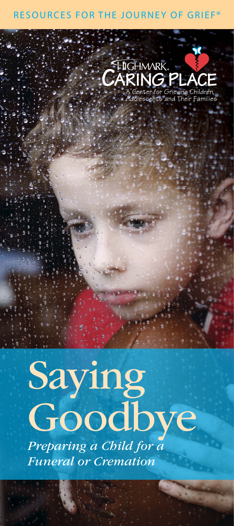#### RESOURCES FOR THE JOURNEY OF GRIEF®



# Saying Goodbye

*Preparing a Child for a Funeral or Cremation*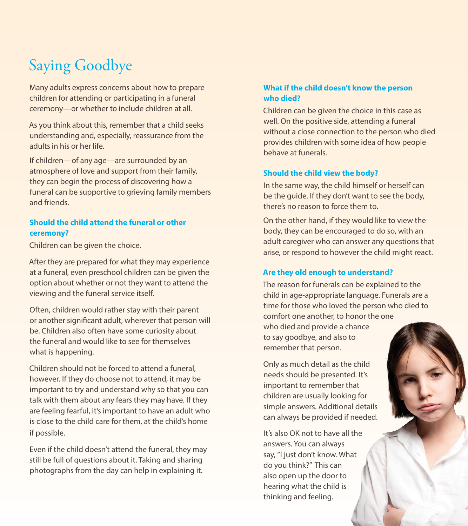## Saying Goodbye

Many adults express concerns about how to prepare children for attending or participating in a funeral ceremony—or whether to include children at all.

As you think about this, remember that a child seeks understanding and, especially, reassurance from the adults in his or her life.

If children—of any age—are surrounded by an atmosphere of love and support from their family, they can begin the process of discovering how a funeral can be supportive to grieving family members and friends.

#### **Should the child attend the funeral or other ceremony?**

Children can be given the choice.

After they are prepared for what they may experience at a funeral, even preschool children can be given the option about whether or not they want to attend the viewing and the funeral service itself.

Often, children would rather stay with their parent or another significant adult, wherever that person will be. Children also often have some curiosity about the funeral and would like to see for themselves what is happening.

Children should not be forced to attend a funeral, however. If they do choose not to attend, it may be important to try and understand why so that you can talk with them about any fears they may have. If they are feeling fearful, it's important to have an adult who is close to the child care for them, at the child's home if possible.

Even if the child doesn't attend the funeral, they may still be full of questions about it. Taking and sharing photographs from the day can help in explaining it.

#### **What if the child doesn't know the person who died?**

Children can be given the choice in this case as well. On the positive side, attending a funeral without a close connection to the person who died provides children with some idea of how people behave at funerals.

#### **Should the child view the body?**

In the same way, the child himself or herself can be the guide. If they don't want to see the body, there's no reason to force them to.

On the other hand, if they would like to view the body, they can be encouraged to do so, with an adult caregiver who can answer any questions that arise, or respond to however the child might react.

#### **Are they old enough to understand?**

The reason for funerals can be explained to the child in age-appropriate language. Funerals are a time for those who loved the person who died to comfort one another, to honor the one who died and provide a chance to say goodbye, and also to remember that person.

Only as much detail as the child needs should be presented. It's important to remember that children are usually looking for simple answers. Additional details can always be provided if needed.

It's also OK not to have all the answers. You can always say, "l just don't know. What do you think?" This can also open up the door to hearing what the child is thinking and feeling.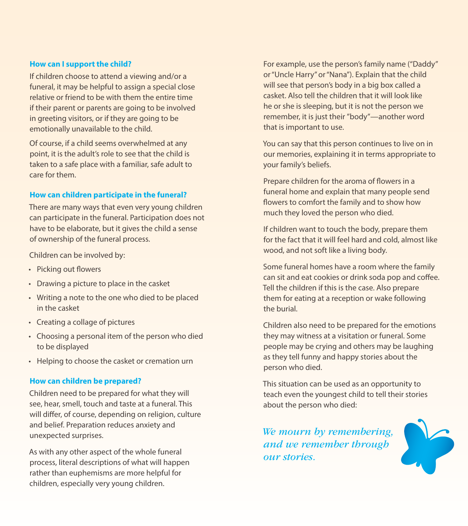#### **How can I support the child?**

If children choose to attend a viewing and/or a funeral, it may be helpful to assign a special close relative or friend to be with them the entire time if their parent or parents are going to be involved in greeting visitors, or if they are going to be emotionally unavailable to the child.

Of course, if a child seems overwhelmed at any point, it is the adult's role to see that the child is taken to a safe place with a familiar, safe adult to care for them.

#### **How can children participate in the funeral?**

There are many ways that even very young children can participate in the funeral. Participation does not have to be elaborate, but it gives the child a sense of ownership of the funeral process.

Children can be involved by:

- Picking out flowers
- Drawing a picture to place in the casket
- Writing a note to the one who died to be placed in the casket
- Creating a collage of pictures
- Choosing a personal item of the person who died to be displayed
- Helping to choose the casket or cremation urn

#### **How can children be prepared?**

Children need to be prepared for what they will see, hear, smell, touch and taste at a funeral. This will differ, of course, depending on religion, culture and belief. Preparation reduces anxiety and unexpected surprises.

As with any other aspect of the whole funeral process, literal descriptions of what will happen rather than euphemisms are more helpful for children, especially very young children.

For example, use the person's family name ("Daddy" or "Uncle Harry" or "Nana"). Explain that the child will see that person's body in a big box called a casket. Also tell the children that it will look like he or she is sleeping, but it is not the person we remember, it is just their "body"—another word that is important to use.

You can say that this person continues to live on in our memories, explaining it in terms appropriate to your family's beliefs.

Prepare children for the aroma of flowers in a funeral home and explain that many people send flowers to comfort the family and to show how much they loved the person who died.

If children want to touch the body, prepare them for the fact that it will feel hard and cold, almost like wood, and not soft like a living body.

Some funeral homes have a room where the family can sit and eat cookies or drink soda pop and coffee. Tell the children if this is the case. Also prepare them for eating at a reception or wake following the burial.

Children also need to be prepared for the emotions they may witness at a visitation or funeral. Some people may be crying and others may be laughing as they tell funny and happy stories about the person who died.

This situation can be used as an opportunity to teach even the youngest child to tell their stories about the person who died:

*We mourn by remembering, and we remember through our stories.*

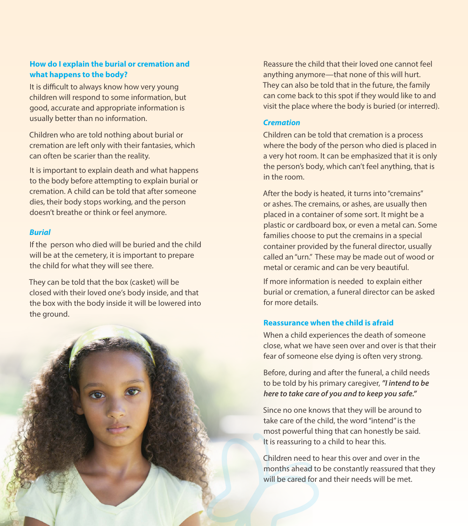#### **How do I explain the burial or cremation and what happens to the body?**

It is difficult to always know how very young children will respond to some information, but good, accurate and appropriate information is usually better than no information.

Children who are told nothing about burial or cremation are left only with their fantasies, which can often be scarier than the reality.

It is important to explain death and what happens to the body before attempting to explain burial or cremation. A child can be told that after someone dies, their body stops working, and the person doesn't breathe or think or feel anymore.

#### *Burial*

If the person who died will be buried and the child will be at the cemetery, it is important to prepare the child for what they will see there.

They can be told that the box (casket) will be closed with their loved one's body inside, and that the box with the body inside it will be lowered into the ground.

Reassure the child that their loved one cannot feel anything anymore—that none of this will hurt. They can also be told that in the future, the family can come back to this spot if they would like to and visit the place where the body is buried (or interred).

#### *Cremation*

Children can be told that cremation is a process where the body of the person who died is placed in a very hot room. It can be emphasized that it is only the person's body, which can't feel anything, that is in the room.

After the body is heated, it turns into "cremains" or ashes. The cremains, or ashes, are usually then placed in a container of some sort. It might be a plastic or cardboard box, or even a metal can. Some families choose to put the cremains in a special container provided by the funeral director, usually called an "urn." These may be made out of wood or metal or ceramic and can be very beautiful.

If more information is needed to explain either burial or cremation, a funeral director can be asked for more details.

#### **Reassurance when the child is afraid**

When a child experiences the death of someone close, what we have seen over and over is that their fear of someone else dying is often very strong.

Before, during and after the funeral, a child needs to be told by his primary caregiver, *"I intend to be here to take care of you and to keep you safe."*

Since no one knows that they will be around to take care of the child, the word "intend" is the most powerful thing that can honestly be said. It is reassuring to a child to hear this.

Children need to hear this over and over in the months ahead to be constantly reassured that they will be cared for and their needs will be met.